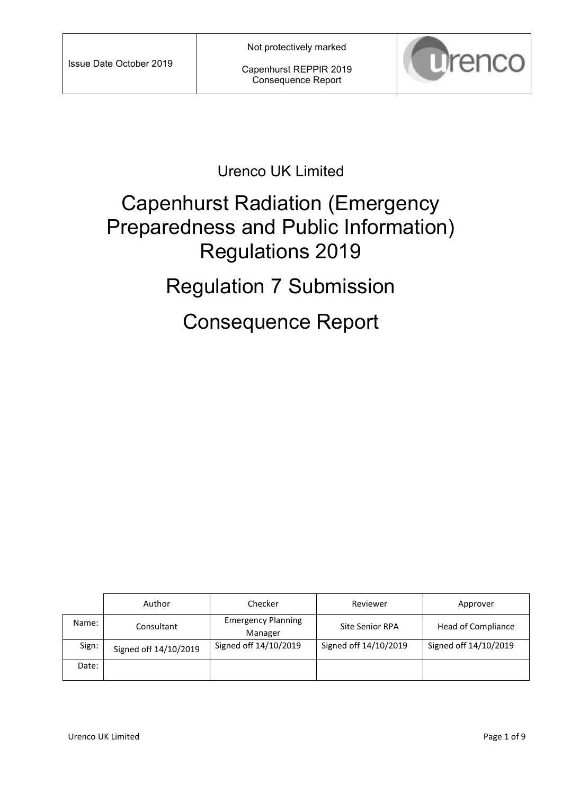Capenhurst REPPIR 2019 Consequence Report



### Urenco UK Limited

# Capenhurst Radiation (Emergency Preparedness and Public Information) Regulations 2019

# Regulation 7 Submission

Consequence Report

|       | Author                | Checker                              | Reviewer               | Approver              |
|-------|-----------------------|--------------------------------------|------------------------|-----------------------|
| Name: | Consultant            | <b>Emergency Planning</b><br>Manager | <b>Site Senior RPA</b> | Head of Compliance    |
| Sign: | Signed off 14/10/2019 | Signed off 14/10/2019                | Signed off 14/10/2019  | Signed off 14/10/2019 |
| Date: |                       |                                      |                        |                       |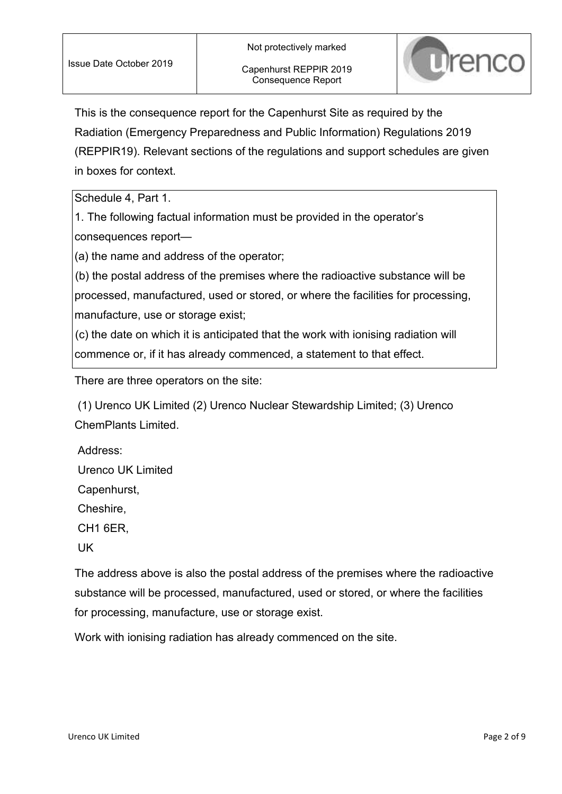

This is the consequence report for the Capenhurst Site as required by the Radiation (Emergency Preparedness and Public Information) Regulations 2019 (REPPIR19). Relevant sections of the regulations and support schedules are given in boxes for context.

Schedule 4, Part 1.

1. The following factual information must be provided in the operator's consequences report—

(a) the name and address of the operator;

(b) the postal address of the premises where the radioactive substance will be processed, manufactured, used or stored, or where the facilities for processing, manufacture, use or storage exist;

(c) the date on which it is anticipated that the work with ionising radiation will commence or, if it has already commenced, a statement to that effect.

There are three operators on the site:

(1) Urenco UK Limited (2) Urenco Nuclear Stewardship Limited; (3) Urenco ChemPlants Limited.

Address: Urenco UK Limited Capenhurst, Cheshire, CH1 6ER, UK

The address above is also the postal address of the premises where the radioactive substance will be processed, manufactured, used or stored, or where the facilities for processing, manufacture, use or storage exist.

Work with ionising radiation has already commenced on the site.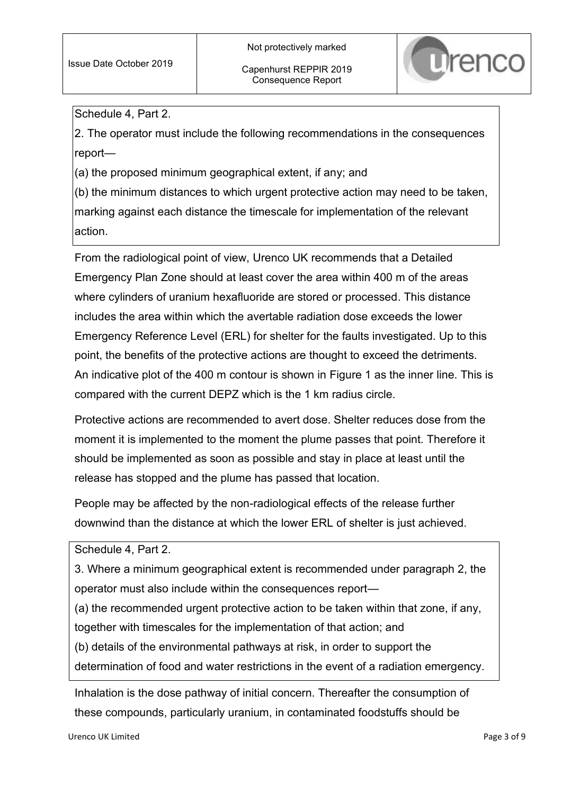

Schedule 4, Part 2.

2. The operator must include the following recommendations in the consequences report—

(a) the proposed minimum geographical extent, if any; and

(b) the minimum distances to which urgent protective action may need to be taken, marking against each distance the timescale for implementation of the relevant action.

From the radiological point of view, Urenco UK recommends that a Detailed Emergency Plan Zone should at least cover the area within 400 m of the areas where cylinders of uranium hexafluoride are stored or processed. This distance includes the area within which the avertable radiation dose exceeds the lower Emergency Reference Level (ERL) for shelter for the faults investigated. Up to this point, the benefits of the protective actions are thought to exceed the detriments. An indicative plot of the 400 m contour is shown in Figure 1 as the inner line. This is compared with the current DEPZ which is the 1 km radius circle.

Protective actions are recommended to avert dose. Shelter reduces dose from the moment it is implemented to the moment the plume passes that point. Therefore it should be implemented as soon as possible and stay in place at least until the release has stopped and the plume has passed that location.

People may be affected by the non-radiological effects of the release further downwind than the distance at which the lower ERL of shelter is just achieved.

Schedule 4, Part 2.

3. Where a minimum geographical extent is recommended under paragraph 2, the operator must also include within the consequences report—

(a) the recommended urgent protective action to be taken within that zone, if any,

together with timescales for the implementation of that action; and

(b) details of the environmental pathways at risk, in order to support the

determination of food and water restrictions in the event of a radiation emergency.

Inhalation is the dose pathway of initial concern. Thereafter the consumption of these compounds, particularly uranium, in contaminated foodstuffs should be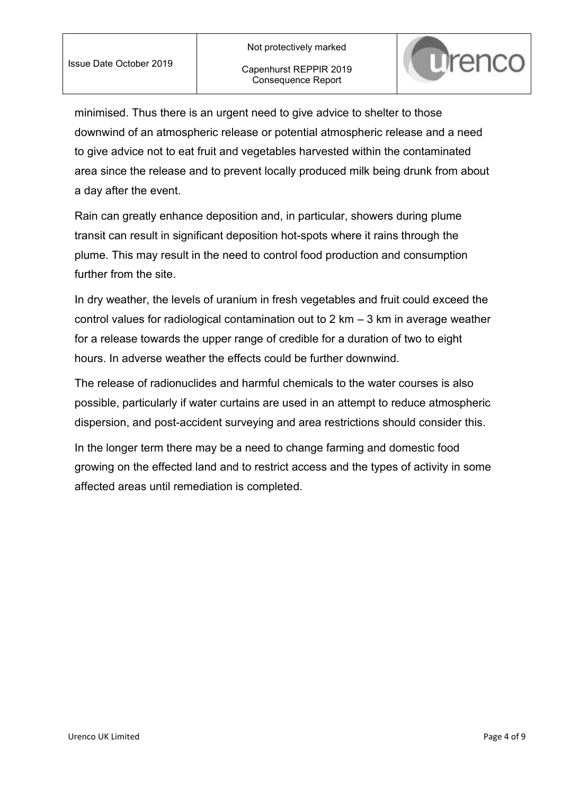

minimised. Thus there is an urgent need to give advice to shelter to those downwind of an atmospheric release or potential atmospheric release and a need to give advice not to eat fruit and vegetables harvested within the contaminated area since the release and to prevent locally produced milk being drunk from about a day after the event.

Rain can greatly enhance deposition and, in particular, showers during plume transit can result in significant deposition hot-spots where it rains through the plume. This may result in the need to control food production and consumption further from the site.

In dry weather, the levels of uranium in fresh vegetables and fruit could exceed the control values for radiological contamination out to 2 km – 3 km in average weather for a release towards the upper range of credible for a duration of two to eight hours. In adverse weather the effects could be further downwind.

The release of radionuclides and harmful chemicals to the water courses is also possible, particularly if water curtains are used in an attempt to reduce atmospheric dispersion, and post-accident surveying and area restrictions should consider this.

In the longer term there may be a need to change farming and domestic food growing on the effected land and to restrict access and the types of activity in some affected areas until remediation is completed.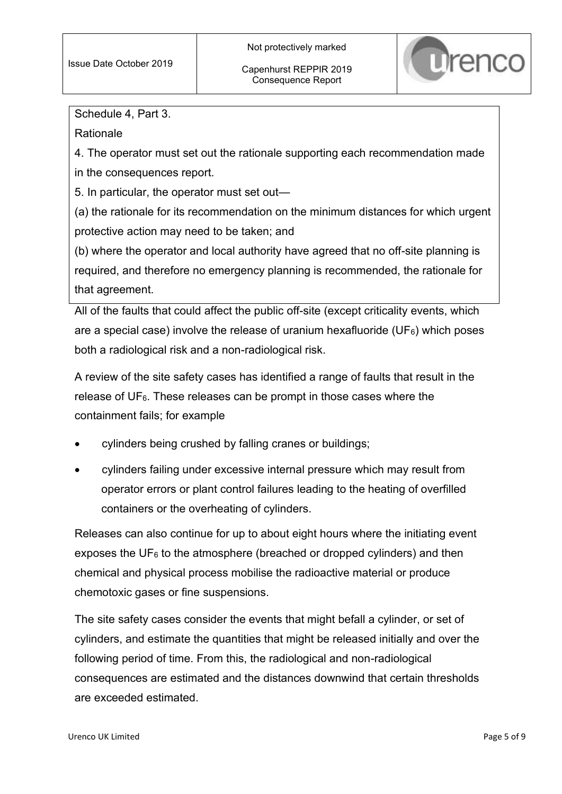

Schedule 4, Part 3.

Rationale

4. The operator must set out the rationale supporting each recommendation made in the consequences report.

5. In particular, the operator must set out—

(a) the rationale for its recommendation on the minimum distances for which urgent protective action may need to be taken; and

(b) where the operator and local authority have agreed that no off-site planning is required, and therefore no emergency planning is recommended, the rationale for that agreement.

All of the faults that could affect the public off-site (except criticality events, which are a special case) involve the release of uranium hexafluoride (UF $_6$ ) which poses both a radiological risk and a non-radiological risk.

A review of the site safety cases has identified a range of faults that result in the release of  $UF<sub>6</sub>$ . These releases can be prompt in those cases where the containment fails; for example

- cylinders being crushed by falling cranes or buildings;
- cylinders failing under excessive internal pressure which may result from operator errors or plant control failures leading to the heating of overfilled containers or the overheating of cylinders.

Releases can also continue for up to about eight hours where the initiating event exposes the  $UF_6$  to the atmosphere (breached or dropped cylinders) and then chemical and physical process mobilise the radioactive material or produce chemotoxic gases or fine suspensions.

The site safety cases consider the events that might befall a cylinder, or set of cylinders, and estimate the quantities that might be released initially and over the following period of time. From this, the radiological and non-radiological consequences are estimated and the distances downwind that certain thresholds are exceeded estimated.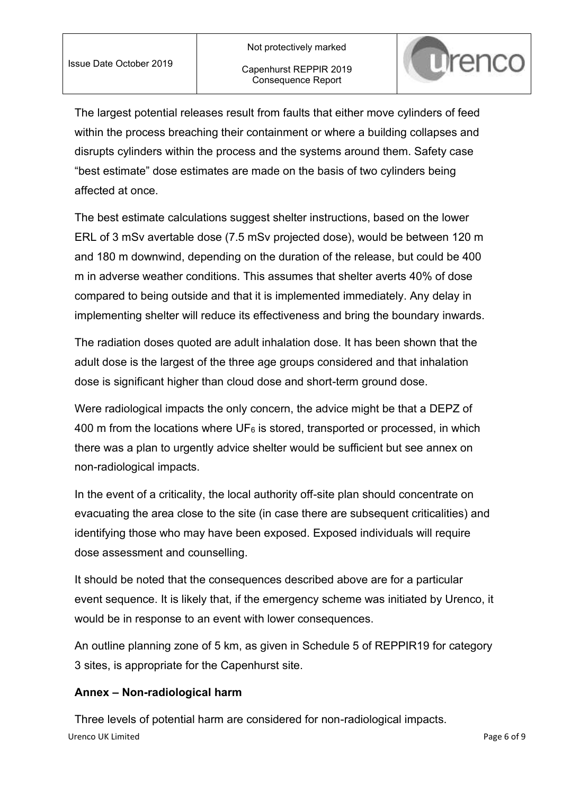

The largest potential releases result from faults that either move cylinders of feed within the process breaching their containment or where a building collapses and disrupts cylinders within the process and the systems around them. Safety case "best estimate" dose estimates are made on the basis of two cylinders being affected at once.

The best estimate calculations suggest shelter instructions, based on the lower ERL of 3 mSv avertable dose (7.5 mSv projected dose), would be between 120 m and 180 m downwind, depending on the duration of the release, but could be 400 m in adverse weather conditions. This assumes that shelter averts 40% of dose compared to being outside and that it is implemented immediately. Any delay in implementing shelter will reduce its effectiveness and bring the boundary inwards.

The radiation doses quoted are adult inhalation dose. It has been shown that the adult dose is the largest of the three age groups considered and that inhalation dose is significant higher than cloud dose and short-term ground dose.

Were radiological impacts the only concern, the advice might be that a DEPZ of 400 m from the locations where  $UF_6$  is stored, transported or processed, in which there was a plan to urgently advice shelter would be sufficient but see annex on non-radiological impacts.

In the event of a criticality, the local authority off-site plan should concentrate on evacuating the area close to the site (in case there are subsequent criticalities) and identifying those who may have been exposed. Exposed individuals will require dose assessment and counselling.

It should be noted that the consequences described above are for a particular event sequence. It is likely that, if the emergency scheme was initiated by Urenco, it would be in response to an event with lower consequences.

An outline planning zone of 5 km, as given in Schedule 5 of REPPIR19 for category 3 sites, is appropriate for the Capenhurst site.

#### **Annex – Non-radiological harm**

Urenco UK Limited Page 6 of 9 Three levels of potential harm are considered for non-radiological impacts.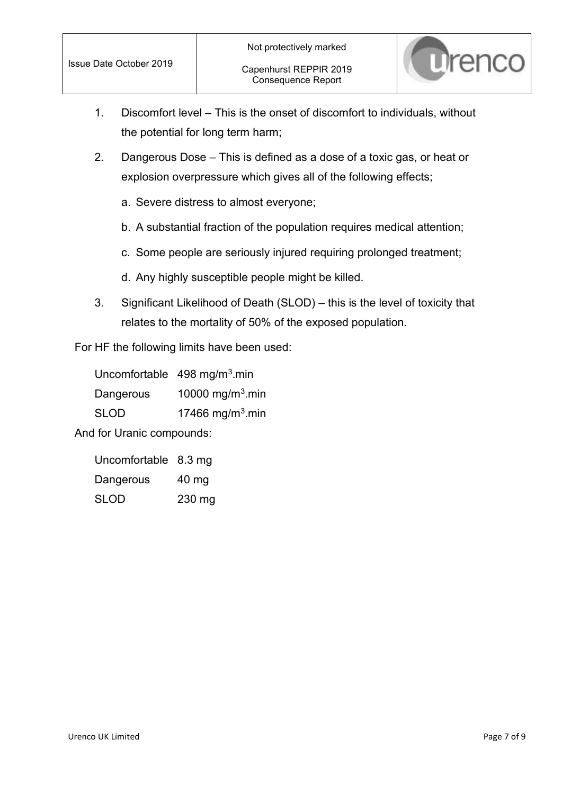

- 1. Discomfort level This is the onset of discomfort to individuals, without the potential for long term harm;
- 2. Dangerous Dose This is defined as a dose of a toxic gas, or heat or explosion overpressure which gives all of the following effects;
	- a. Severe distress to almost everyone;
	- b. A substantial fraction of the population requires medical attention;
	- c. Some people are seriously injured requiring prolonged treatment;
	- d. Any highly susceptible people might be killed.
- 3. Significant Likelihood of Death (SLOD) this is the level of toxicity that relates to the mortality of 50% of the exposed population.

For HF the following limits have been used:

|             | Uncomfortable 498 mg/m <sup>3</sup> .min |
|-------------|------------------------------------------|
| Dangerous   | 10000 mg/m <sup>3</sup> .min             |
| <b>SLOD</b> | 17466 mg/m <sup>3</sup> .min             |

And for Uranic compounds:

| Uncomfortable 8.3 mg |        |
|----------------------|--------|
| Dangerous            | 40 mg  |
| <b>SLOD</b>          | 230 mg |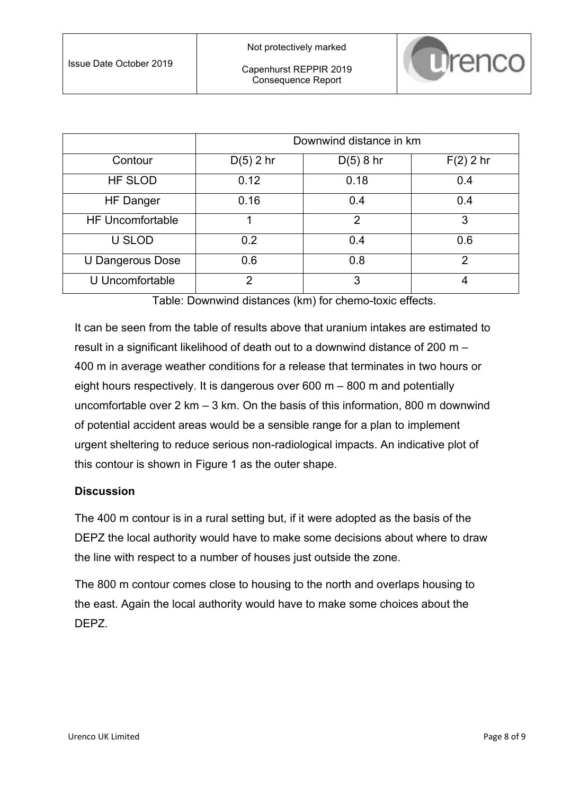|                         | Downwind distance in km |                |             |
|-------------------------|-------------------------|----------------|-------------|
| Contour                 | $D(5)$ 2 hr             | $D(5)$ 8 hr    | $F(2)$ 2 hr |
| <b>HF SLOD</b>          | 0.12                    | 0.18           | 0.4         |
| <b>HF Danger</b>        | 0.16                    | 0.4            | 0.4         |
| <b>HF Uncomfortable</b> |                         | $\overline{2}$ | 3           |
| <b>U SLOD</b>           | 0.2                     | 0.4            | 0.6         |
| U Dangerous Dose        | 0.6                     | 0.8            | 2           |
| U Uncomfortable         | 2                       | 3              |             |

Table: Downwind distances (km) for chemo-toxic effects.

It can be seen from the table of results above that uranium intakes are estimated to result in a significant likelihood of death out to a downwind distance of 200 m – 400 m in average weather conditions for a release that terminates in two hours or eight hours respectively. It is dangerous over 600 m – 800 m and potentially uncomfortable over 2 km – 3 km. On the basis of this information, 800 m downwind of potential accident areas would be a sensible range for a plan to implement urgent sheltering to reduce serious non-radiological impacts. An indicative plot of this contour is shown in [Figure 1](#page-8-0) as the outer shape.

#### **Discussion**

The 400 m contour is in a rural setting but, if it were adopted as the basis of the DEPZ the local authority would have to make some decisions about where to draw the line with respect to a number of houses just outside the zone.

The 800 m contour comes close to housing to the north and overlaps housing to the east. Again the local authority would have to make some choices about the DEPZ.